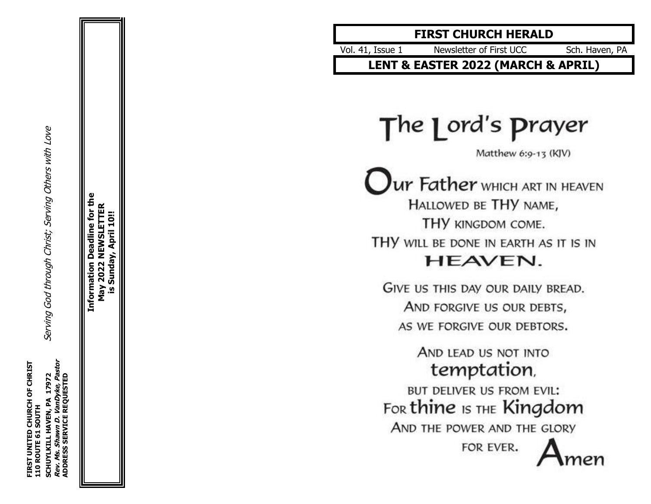Serving God through Christ; Serving Others with Love **SCHUYLKILL HAVEN, PA 17972** Serving God through Christ; Serving Others with Love

**Information Deadline for the** for th May 2022 NEWSLETTER **May 2022 NEWSLETTER** April 10!! **is Sunday, April 10!!**eadline Sunday **Information** <u>ທ</u>

# **FIRST CHURCH HERALD**

Vol . 41, Issue Newsletter of First UCC Sch. Haven, PA

**LENT & EASTER 2022 (MARCH & APRIL )**

The 1 ord's prayer

Matthew 6:9-13 (KJV)

Ur Father WHICH ART IN HEAVEN HALLOWED BE THY NAME, THY KINGDOM COME. THY WILL BE DONE IN EARTH AS IT IS IN HEAVEN.

GIVE US THIS DAY OUR DAILY BREAD. AND FORGIVE US OUR DEBTS, AS WE FORGIVE OUR DEBTORS.

> AND LEAD US NOT INTO temptation,

BUT DELIVER US FROM EVIL: For thine IS THE Kingdom

AND THE POWER AND THE GLORY

FOR EVER.

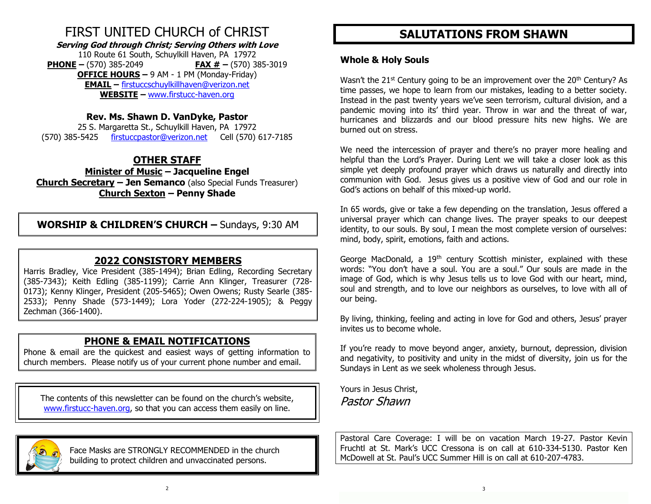# FIRST UNITED CHURCH of CHRIST

**Serving God through Christ; Serving Others with Love**

110 Route 61 South, Schuylkill Haven, PA 17972 **PHONE –** (570) 385-2049 **FAX # –** (570) 385-3019 **OFFICE HOURS –** 9 AM - 1 PM (Monday-Friday) **EMAIL –** [firstuccschuylkillhaven@verizon.net](mailto:firstuccschuylkillhaven@verizon.net) **WEBSITE –** [www.firstucc-haven.org](http://www.firstucc-haven.org/)

## **Rev. Ms. Shawn D. VanDyke, Pastor**

25 S. Margaretta St., Schuylkill Haven, PA 17972 (570) 385-5425 [firstuccpastor@verizon.net](mailto:firstuccpastor@verizon.net) Cell (570) 617-7185

# **OTHER STAFF**

**Minister of Music – Jacqueline Engel Church Secretary – Jen Semanco** (also Special Funds Treasurer) **Church Sexton – Penny Shade**

**WORSHIP & CHILDREN'S CHURCH –** Sundays, 9:30 AM

# **2022 CONSISTORY MEMBERS**

Harris Bradley, Vice President (385-1494); Brian Edling, Recording Secretary (385-7343); Keith Edling (385-1199); Carrie Ann Klinger, Treasurer (728- 0173); Kenny Klinger, President (205-5465); Owen Owens; Rusty Searle (385- 2533); Penny Shade (573-1449); Lora Yoder (272-224-1905); & Peggy Zechman (366-1400).

# **PHONE & EMAIL NOTIFICATIONS**

Phone & email are the quickest and easiest ways of getting information to church members. Please notify us of your current phone number and email.

The contents of this newsletter can be found on the church's website, [www.firstucc-haven.org,](http://www.firstucc-haven.org/) so that you can access them easily on line.



 Face Masks are STRONGLY RECOMMENDED in the church building to protect children and unvaccinated persons.

# **SALUTATIONS FROM SHAWN**

### **Whole & Holy Souls**

Wasn't the  $21^{st}$  Century going to be an improvement over the  $20^{th}$  Century? As time passes, we hope to learn from our mistakes, leading to a better society. Instead in the past twenty years we've seen terrorism, cultural division, and a pandemic moving into its' third year. Throw in war and the threat of war, hurricanes and blizzards and our blood pressure hits new highs. We are burned out on stress.

We need the intercession of prayer and there's no prayer more healing and helpful than the Lord's Prayer. During Lent we will take a closer look as this simple yet deeply profound prayer which draws us naturally and directly into communion with God. Jesus gives us a positive view of God and our role in God's actions on behalf of this mixed-up world.

In 65 words, give or take a few depending on the translation, Jesus offered a universal prayer which can change lives. The prayer speaks to our deepest identity, to our souls. By soul, I mean the most complete version of ourselves: mind, body, spirit, emotions, faith and actions.

George MacDonald, a 19<sup>th</sup> century Scottish minister, explained with these words: "You don't have a soul. You are a soul." Our souls are made in the image of God, which is why Jesus tells us to love God with our heart, mind, soul and strength, and to love our neighbors as ourselves, to love with all of our being.

By living, thinking, feeling and acting in love for God and others, Jesus' prayer invites us to become whole.

If you're ready to move beyond anger, anxiety, burnout, depression, division and negativity, to positivity and unity in the midst of diversity, join us for the Sundays in Lent as we seek wholeness through Jesus.

Yours in Jesus Christ, Pastor Shawn

Pastoral Care Coverage: I will be on vacation March 19-27. Pastor Kevin Fruchtl at St. Mark's UCC Cressona is on call at 610-334-5130. Pastor Ken McDowell at St. Paul's UCC Summer Hill is on call at 610-207-4783.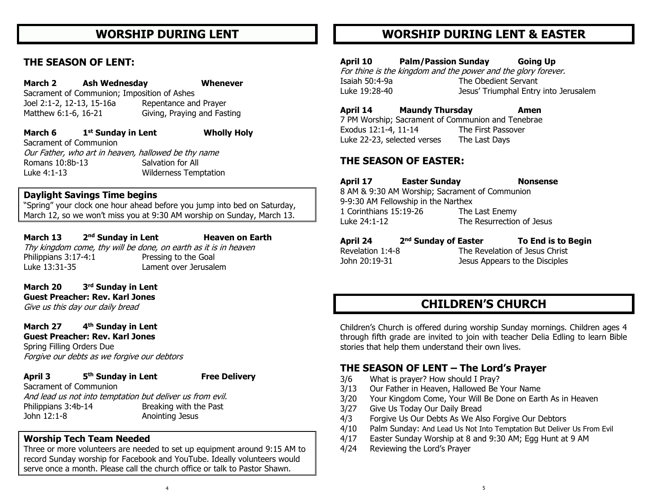# **WORSHIP DURING LENT**

### **THE SEASON OF LENT:**

**March 2 Ash Wednesday Whenever**  Sacrament of Communion; Imposition of Ashes Joel 2:1-2, 12-13, 15-16a Repentance and Prayer Matthew 6:1-6, 16-21 Giving, Praying and Fasting

**March 6 1 st Sunday in Lent Wholly Holy** Sacrament of Communion Our Father, who art in heaven, hallowed be thy name Romans 10:8b-13 Salvation for All Luke 4:1-13 Wilderness Temptation

### **Daylight Savings Time begins**

"Spring" your clock one hour ahead before you jump into bed on Saturday, March 12, so we won't miss you at 9:30 AM worship on Sunday, March 13.

**March 13 nd Sunday in Lent Heaven on Earth** Thy kingdom come, thy will be done, on earth as it is in heaven Philippians 3:17-4:1 Pressing to the Goal Luke 13:31-35 Lament over Jerusalem

**March 20 rd Sunday in Lent Guest Preacher: Rev. Karl Jones**

Give us this day our daily bread

**March 27 th Sunday in Lent Guest Preacher: Rev. Karl Jones**

Spring Filling Orders Due Forgive our debts as we forgive our debtors

#### **April 3 5**

**th Sunday in Lent Free Delivery**

Sacrament of Communion And lead us not into temptation but deliver us from evil. Philippians 3:4b-14 Breaking with the Past John 12:1-8 Anointing Jesus

#### **Worship Tech Team Needed**

Three or more volunteers are needed to set up equipment around 9:15 AM to record Sunday worship for Facebook and YouTube. Ideally volunteers would serve once a month. Please call the church office or talk to Pastor Shawn.

# **WORSHIP DURING LENT & EASTER**

**April 10 Palm/Passion Sunday Going Up**

For thine is the kingdom and the power and the glory forever. Isaiah 50:4-9a The Obedient Servant Luke 19:28-40 Jesus' Triumphal Entry into Jerusalem

#### **April 14 Maundy Thursday Amen**

7 PM Worship; Sacrament of Communion and Tenebrae Exodus 12:1-4, 11-14 The First Passover Luke 22-23, selected verses The Last Days

### **THE SEASON OF EASTER:**

| April 17                                       | <b>Easter Sunday</b> |                           | <b>Nonsense</b> |  |
|------------------------------------------------|----------------------|---------------------------|-----------------|--|
| 8 AM & 9:30 AM Worship; Sacrament of Communion |                      |                           |                 |  |
| 9-9:30 AM Fellowship in the Narthex            |                      |                           |                 |  |
| 1 Corinthians 15:19-26                         |                      | The Last Enemy            |                 |  |
| Luke 24:1-12                                   |                      | The Resurrection of Jesus |                 |  |

| April 24         | 2 <sup>nd</sup> Sunday of Easter | To End is to Begin             |
|------------------|----------------------------------|--------------------------------|
| Revelation 1:4-8 |                                  | The Revelation of Jesus Christ |
| John 20:19-31    |                                  | Jesus Appears to the Disciples |

# **CHILDREN'S CHURCH**

Children's Church is offered during worship Sunday mornings. Children ages 4 through fifth grade are invited to join with teacher Delia Edling to learn Bible stories that help them understand their own lives.

### **THE SEASON OF LENT – The Lord's Prayer**

- 3/6 What is prayer? How should I Pray?
- 3/13 Our Father in Heaven, Hallowed Be Your Name
- 3/20 Your Kingdom Come, Your Will Be Done on Earth As in Heaven
- 3/27 Give Us Today Our Daily Bread
- 4/3 Forgive Us Our Debts As We Also Forgive Our Debtors
- 4/10 Palm Sunday: And Lead Us Not Into Temptation But Deliver Us From Evil
- 4/17 Easter Sunday Worship at 8 and 9:30 AM; Egg Hunt at 9 AM
- 4/24 Reviewing the Lord's Prayer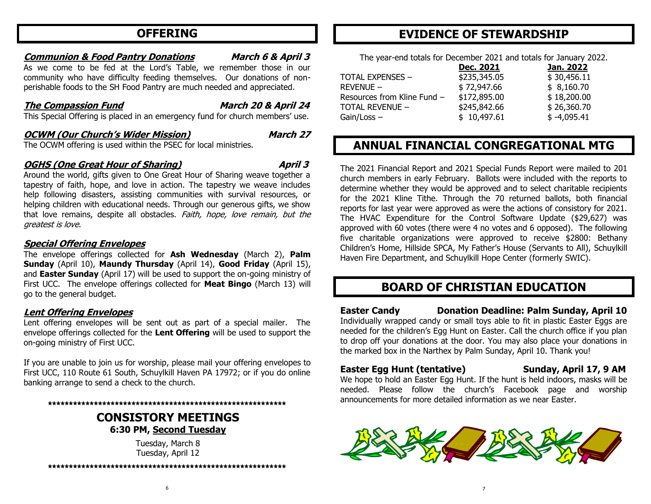# **OFFERING**

#### **Communion & Food Pantry Donations March 6 & April 3**

As we come to be fed at the Lord's Table, we remember those in our community who have difficulty feeding themselves. Our donations of nonperishable foods to the SH Food Pantry are much needed and appreciated.

### **The Compassion Fund March 20 & April 24**

This Special Offering is placed in an emergency fund for church members' use.

#### **OCWM (Our Church's Wider Mission) March 27**

The OCWM offering is used within the PSEC for local ministries.

#### **OGHS** (One Great Hour of Sharing) April 3

Around the world, gifts given to One Great Hour of Sharing weave together a tapestry of faith, hope, and love in action. The tapestry we weave includes help following disasters, assisting communities with survival resources, or helping children with educational needs. Through our generous gifts, we show that love remains, despite all obstacles. Faith, hope, love remain, but the greatest is love.

#### **Special Offering Envelopes**

The envelope offerings collected for **Ash Wednesday** (March 2), **Palm Sunday** (April 10), **Maundy Thursday** (April 14), **Good Friday** (April 15), and **Easter Sunday** (April 17) will be used to support the on-going ministry of First UCC. The envelope offerings collected for **Meat Bingo** (March 13) will go to the general budget.

### **Lent Offering Envelopes**

Lent offering envelopes will be sent out as part of a special mailer. The envelope offerings collected for the **Lent Offering** will be used to support the on-going ministry of First UCC.

If you are unable to join us for worship, please mail your offering envelopes to First UCC, 110 Route 61 South, Schuylkill Haven PA 17972; or if you do online banking arrange to send a check to the church.

#### **\*\*\*\*\*\*\*\*\*\*\*\*\*\*\*\*\*\*\*\*\*\*\*\*\*\*\*\*\*\*\*\*\*\*\*\*\*\*\*\*\*\*\*\*\*\*\*\*\*\*\*\*\*\*\*\*\***

### **CONSISTORY MEETINGS 6:30 PM, Second Tuesday**

Tuesday, March 8 Tuesday, April 12

**\*\*\*\*\*\*\*\*\*\*\*\*\*\*\*\*\*\*\*\*\*\*\*\*\*\*\*\*\*\*\*\*\*\*\*\*\*\*\*\*\*\*\*\*\*\*\*\*\*\*\*\*\*\*\*\*\***

# **EVIDENCE OF STEWARDSHIP**

The year-end totals for December 2021 and totals for January 2022.

|                             | Dec. 2021    | Jan. 2022     |
|-----------------------------|--------------|---------------|
| <b>TOTAL EXPENSES -</b>     | \$235,345.05 | \$30,456.11   |
| $REVENUE -$                 | \$72,947.66  | \$8,160.70    |
| Resources from Kline Fund - | \$172,895.00 | \$18,200.00   |
| <b>TOTAL REVENUE -</b>      | \$245,842.66 | \$26,360.70   |
| $Gain / Loss -$             | \$10,497.61  | $$ -4,095.41$ |

# **ANNUAL FINANCIAL CONGREGATIONAL MTG**

The 2021 Financial Report and 2021 Special Funds Report were mailed to 201 church members in early February. Ballots were included with the reports to determine whether they would be approved and to select charitable recipients for the 2021 Kline Tithe. Through the 70 returned ballots, both financial reports for last year were approved as were the actions of consistory for 2021. The HVAC Expenditure for the Control Software Update (\$29,627) was approved with 60 votes (there were 4 no votes and 6 opposed). The following five charitable organizations were approved to receive \$2800: Bethany Children's Home, Hillside SPCA, My Father's House (Servants to All), Schuylkill Haven Fire Department, and Schuylkill Hope Center (formerly SWIC).

# **BOARD OF CHRISTIAN EDUCATION**

**Easter Candy Donation Deadline: Palm Sunday, April 10** Individually wrapped candy or small toys able to fit in plastic Easter Eggs are needed for the children's Egg Hunt on Easter. Call the church office if you plan to drop off your donations at the door. You may also place your donations in the marked box in the Narthex by Palm Sunday, April 10. Thank you!

### **Easter Egg Hunt (tentative) Sunday, April 17, 9 AM**

We hope to hold an Easter Egg Hunt. If the hunt is held indoors, masks will be needed. Please follow the church's Facebook page and worship announcements for more detailed information as we near Easter.

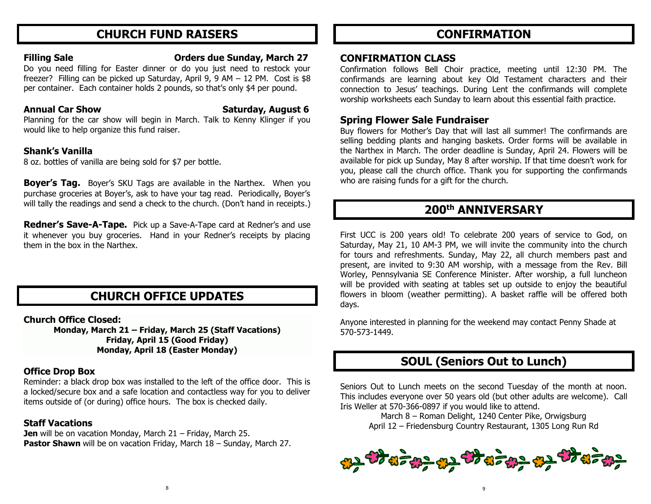# **CHURCH FUND RAISERS**

#### **Filling Sale Orders due Sunday, March 27**

Do you need filling for Easter dinner or do you just need to restock your freezer? Filling can be picked up Saturday, April 9, 9 AM – 12 PM. Cost is \$8 per container. Each container holds 2 pounds, so that's only \$4 per pound.

### **Annual Car Show Saturday, August 6**

Planning for the car show will begin in March. Talk to Kenny Klinger if you would like to help organize this fund raiser.

### **Shank's Vanilla**

8 oz. bottles of vanilla are being sold for \$7 per bottle.

**Boyer's Tag.** Boyer's SKU Tags are available in the Narthex. When you purchase groceries at Boyer's, ask to have your tag read. Periodically, Boyer's will tally the readings and send a check to the church. (Don't hand in receipts.)

**Redner's Save-A-Tape.** Pick up a Save-A-Tape card at Redner's and use it whenever you buy groceries. Hand in your Redner's receipts by placing them in the box in the Narthex.

# **CHURCH OFFICE UPDATES**

**Church Office Closed:** 

**Monday, March 21 – Friday, March 25 (Staff Vacations) Friday, April 15 (Good Friday) Monday, April 18 (Easter Monday)**

### **Office Drop Box**

Reminder: a black drop box was installed to the left of the office door. This is a locked/secure box and a safe location and contactless way for you to deliver items outside of (or during) office hours. The box is checked daily.

### **Staff Vacations**

**Jen** will be on vacation Monday, March 21 – Friday, March 25. **Pastor Shawn** will be on vacation Friday, March 18 – Sunday, March 27.

# **CONFIRMATION**

### **CONFIRMATION CLASS**

Confirmation follows Bell Choir practice, meeting until 12:30 PM. The confirmands are learning about key Old Testament characters and their connection to Jesus' teachings. During Lent the confirmands will complete worship worksheets each Sunday to learn about this essential faith practice.

## **Spring Flower Sale Fundraiser**

Buy flowers for Mother's Day that will last all summer! The confirmands are selling bedding plants and hanging baskets. Order forms will be available in the Narthex in March. The order deadline is Sunday, April 24. Flowers will be available for pick up Sunday, May 8 after worship. If that time doesn't work for you, please call the church office. Thank you for supporting the confirmands who are raising funds for a gift for the church.

# **200th ANNIVERSARY**

First UCC is 200 years old! To celebrate 200 years of service to God, on Saturday, May 21, 10 AM-3 PM, we will invite the community into the church for tours and refreshments. Sunday, May 22, all church members past and present, are invited to 9:30 AM worship, with a message from the Rev. Bill Worley, Pennsylvania SE Conference Minister. After worship, a full luncheon will be provided with seating at tables set up outside to enjoy the beautiful flowers in bloom (weather permitting). A basket raffle will be offered both days.

Anyone interested in planning for the weekend may contact Penny Shade at 570-573-1449.

# **SOUL (Seniors Out to Lunch)**

Seniors Out to Lunch meets on the second Tuesday of the month at noon. This includes everyone over 50 years old (but other adults are welcome). Call Iris Weller at 570-366-0897 if you would like to attend.

March 8 – Roman Delight, 1240 Center Pike, Orwigsburg April 12 – Friedensburg Country Restaurant, 1305 Long Run Rd

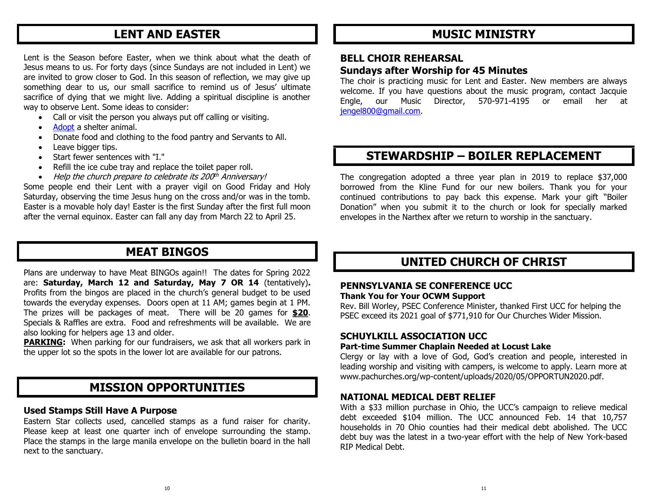# **LENT AND EASTER**

Lent is the Season before Easter, when we think about what the death of Jesus means to us. For forty days (since Sundays are not included in Lent) we are invited to grow closer to God. In this season of reflection, we may give up something dear to us, our small sacrifice to remind us of Jesus' ultimate sacrifice of dying that we might live. Adding a spiritual discipline is another way to observe Lent. Some ideas to consider:

- Call or visit the person you always put off calling or visiting.
- [Adopt](http://act.ucc.org/site/R?i=msgHcOsCWSOgFBqJXRdo6w) a shelter animal.
- Donate food and clothing to the food pantry and Servants to All.
- Leave bigger tips.
- Start fewer sentences with "I."
- Refill the ice cube tray and replace the toilet paper roll.
- Help the church prepare to celebrate its 200th Anniversary!

Some people end their Lent with a prayer vigil on Good Friday and Holy Saturday, observing the time Jesus hung on the cross and/or was in the tomb. Easter is a movable holy day! Easter is the first Sunday after the first full moon after the vernal equinox. Easter can fall any day from March 22 to April 25.

# **MEAT BINGOS**

Plans are underway to have Meat BINGOs again!! The dates for Spring 2022 are: **Saturday, March 12 and Saturday, May 7 OR 14** (tentatively)**.**  Profits from the bingos are placed in the church's general budget to be used towards the everyday expenses. Doors open at 11 AM; games begin at 1 PM. The prizes will be packages of meat. There will be 20 games for **\$20**. Specials & Raffles are extra. Food and refreshments will be available. We are also looking for helpers age 13 and older.

**PARKING:** When parking for our fundraisers, we ask that all workers park in the upper lot so the spots in the lower lot are available for our patrons.

## **MISSION OPPORTUNITIES**

#### **Used Stamps Still Have A Purpose**

Eastern Star collects used, cancelled stamps as a fund raiser for charity. Please keep at least one quarter inch of envelope surrounding the stamp. Place the stamps in the large manila envelope on the bulletin board in the hall next to the sanctuary.

# **MUSIC MINISTRY**

### **BELL CHOIR REHEARSAL Sundays after Worship for 45 Minutes**

The choir is practicing music for Lent and Easter. New members are always welcome. If you have questions about the music program, contact Jacquie Engle, our Music Director, 570-971-4195 or email her at [jengel800@gmail.com.](mailto:jengel800@gmail.com)

# **STEWARDSHIP – BOILER REPLACEMENT**

The congregation adopted a three year plan in 2019 to replace \$37,000 borrowed from the Kline Fund for our new boilers. Thank you for your continued contributions to pay back this expense. Mark your gift "Boiler Donation" when you submit it to the church or look for specially marked envelopes in the Narthex after we return to worship in the sanctuary.

# **UNITED CHURCH OF CHRIST**

#### **PENNSYLVANIA SE CONFERENCE UCC**

#### **Thank You for Your OCWM Support**

Rev. Bill Worley, PSEC Conference Minister, thanked First UCC for helping the PSEC exceed its 2021 goal of \$771,910 for Our Churches Wider Mission.

#### **SCHUYLKILL ASSOCIATION UCC**

#### **Part-time Summer Chaplain Needed at Locust Lake**

Clergy or lay with a love of God, God's creation and people, interested in leading worship and visiting with campers, is welcome to apply. Learn more at www.pachurches.org/wp-content/uploads/2020/05/OPPORTUN2020.pdf.

#### **NATIONAL MEDICAL DEBT RELIEF**

With a \$33 million purchase in Ohio, the UCC's campaign to relieve medical debt exceeded \$104 million. The UCC announced Feb. 14 that 10,757 households in 70 Ohio counties had their medical debt abolished. The UCC debt buy was the latest in a two-year effort with the help of New York-based RIP Medical Debt.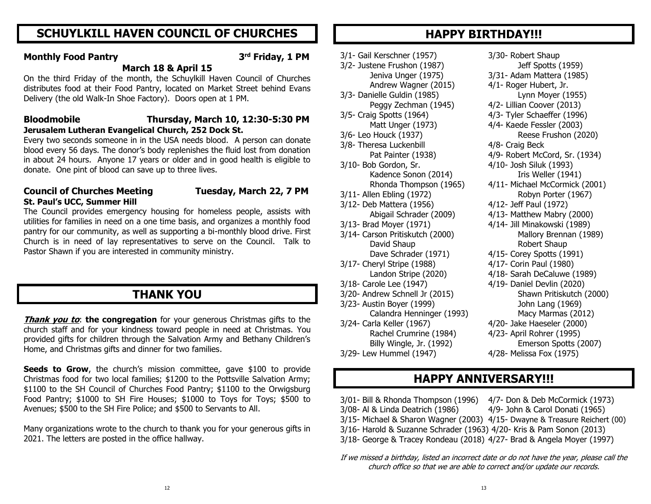# **SCHUYLKILL HAVEN COUNCIL OF CHURCHES**

#### **Monthly Food Pantry 3**

#### **rd Friday, 1 PM**

#### **March 18 & April 15**

On the third Friday of the month, the Schuylkill Haven Council of Churches distributes food at their Food Pantry, located on Market Street behind Evans Delivery (the old Walk-In Shoe Factory). Doors open at 1 PM.

#### **Bloodmobile Thursday, March 10, 12:30-5:30 PM Jerusalem Lutheran Evangelical Church, 252 Dock St.**

Every two seconds someone in in the USA needs blood. A person can donate blood every 56 days. The donor's body replenishes the fluid lost from donation in about 24 hours. Anyone 17 years or older and in good health is eligible to donate. One pint of blood can save up to three lives.

#### **Council of Churches Meeting Tuesday, March 22, 7 PM St. Paul's UCC, Summer Hill**

The Council provides emergency housing for homeless people, assists with utilities for families in need on a one time basis, and organizes a monthly food pantry for our community, as well as supporting a bi-monthly blood drive. First Church is in need of lay representatives to serve on the Council. Talk to Pastor Shawn if you are interested in community ministry.

# **THANK YOU**

**Thank you to: the congregation** for your generous Christmas gifts to the church staff and for your kindness toward people in need at Christmas. You provided gifts for children through the Salvation Army and Bethany Children's Home, and Christmas gifts and dinner for two families.

**Seeds to Grow**, the church's mission committee, gave \$100 to provide Christmas food for two local families; \$1200 to the Pottsville Salvation Army; \$1100 to the SH Council of Churches Food Pantry; \$1100 to the Orwigsburg Food Pantry; \$1000 to SH Fire Houses; \$1000 to Toys for Toys; \$500 to Avenues; \$500 to the SH Fire Police; and \$500 to Servants to All.

Many organizations wrote to the church to thank you for your generous gifts in 2021. The letters are posted in the office hallway.

# **HAPPY BIRTHDAY!!!**

3/1- Gail Kerschner (1957) 3/30- Robert Shaup 3/2- Justene Frushon (1987) Jeff Spotts (1959) Jeniva Unger (1975) 3/31- Adam Mattera (1985) Andrew Wagner (2015) 4/1- Roger Hubert, Jr. 3/3- Danielle Guldin (1985) Lynn Moyer (1955) Peggy Zechman (1945) 4/2- Lillian Coover (2013) 3/5- Craig Spotts (1964) 4/3- Tyler Schaeffer (1996) Matt Unger (1973) 4/4- Kaede Fessler (2003) 3/6- Leo Houck (1937) Reese Frushon (2020) 3/8- Theresa Luckenbill 4/8- Craig Beck 3/10- Bob Gordon, Sr. 4/10- Josh Siluk (1993) Kadence Sonon (2014) Iris Weller (1941) 3/11- Allen Ebling (1972) Robyn Porter (1967) 3/12- Deb Mattera (1956) 4/12- Jeff Paul (1972) 3/13- Brad Moyer (1971) 4/14- Jill Minakowski (1989) 3/14- Carson Pritiskutch (2000) Mallory Brennan (1989) David Shaup **Robert Shaup** Robert Shaup Dave Schrader (1971) 4/15- Corey Spotts (1991) 3/17- Cheryl Stripe (1988) 4/17- Corin Paul (1980) 3/18- Carole Lee (1947) 4/19- Daniel Devlin (2020) 3/20- Andrew Schnell Jr (2015) Shawn Pritiskutch (2000) 3/23- Austin Boyer (1999) John Lang (1969) 3/24- Carla Keller (1967) 4/20- Jake Haeseler (2000) Rachel Crumrine (1984) 4/23- April Rohrer (1995) 3/29- Lew Hummel (1947) 4/28- Melissa Fox (1975)

Pat Painter (1938) 4/9- Robert McCord, Sr. (1934) Rhonda Thompson (1965) 4/11- Michael McCormick (2001) Abigail Schrader (2009) 4/13- Matthew Mabry (2000) Landon Stripe (2020) 4/18- Sarah DeCaluwe (1989) Calandra Henninger (1993) Macy Marmas (2012) Billy Wingle, Jr. (1992) Emerson Spotts (2007)

# **HAPPY ANNIVERSARY!!!**

3/01- Bill & Rhonda Thompson (1996) 4/7- Don & Deb McCormick (1973) 3/08- Al & Linda Deatrich (1986) 4/9- John & Carol Donati (1965) 3/15- Michael & Sharon Wagner (2003) 4/15- Dwayne & Treasure Reichert (00) 3/16- Harold & Suzanne Schrader (1963) 4/20- Kris & Pam Sonon (2013)

3/18- George & Tracey Rondeau (2018) 4/27- Brad & Angela Moyer (1997)

If we missed a birthday, listed an incorrect date or do not have the year, please call the church office so that we are able to correct and/or update our records.